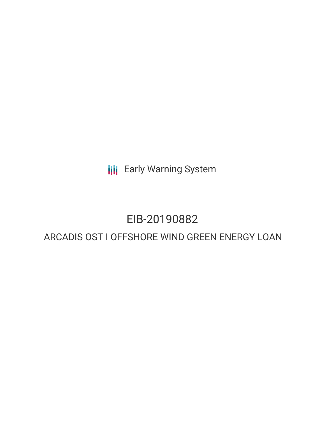**III** Early Warning System

# EIB-20190882

# ARCADIS OST I OFFSHORE WIND GREEN ENERGY LOAN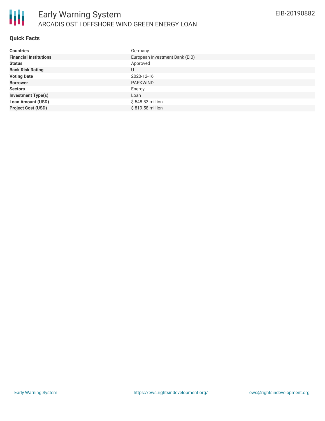

### **Quick Facts**

冊

| <b>Countries</b>              | Germany                        |
|-------------------------------|--------------------------------|
| <b>Financial Institutions</b> | European Investment Bank (EIB) |
| <b>Status</b>                 | Approved                       |
| <b>Bank Risk Rating</b>       | U                              |
| <b>Voting Date</b>            | 2020-12-16                     |
| <b>Borrower</b>               | <b>PARKWIND</b>                |
| <b>Sectors</b>                | Energy                         |
| <b>Investment Type(s)</b>     | Loan                           |
| <b>Loan Amount (USD)</b>      | \$548.83 million               |
| <b>Project Cost (USD)</b>     | \$819.58 million               |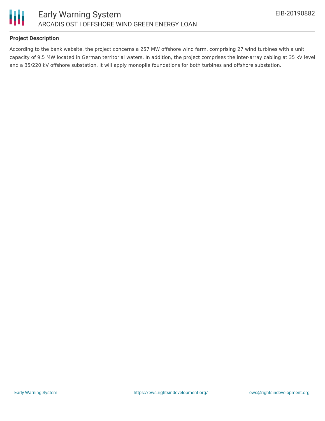



# **Project Description**

According to the bank website, the project concerns a 257 MW offshore wind farm, comprising 27 wind turbines with a unit capacity of 9.5 MW located in German territorial waters. In addition, the project comprises the inter-array cabling at 35 kV level and a 35/220 kV offshore substation. It will apply monopile foundations for both turbines and offshore substation.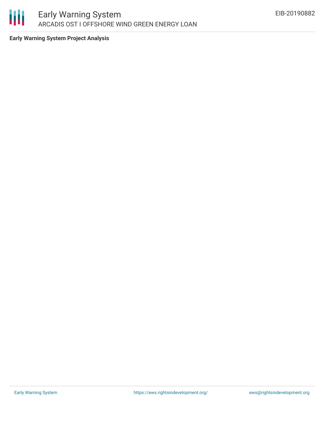

**Early Warning System Project Analysis**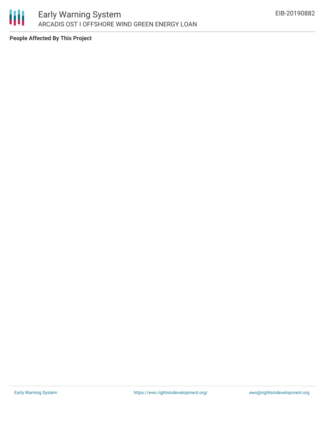

**People Affected By This Project**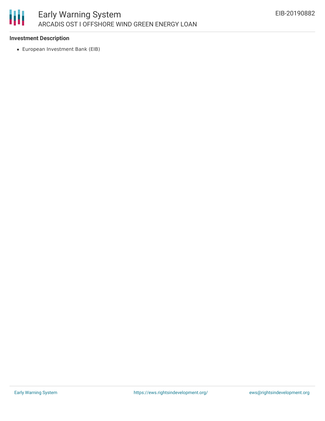

# **Investment Description**

European Investment Bank (EIB)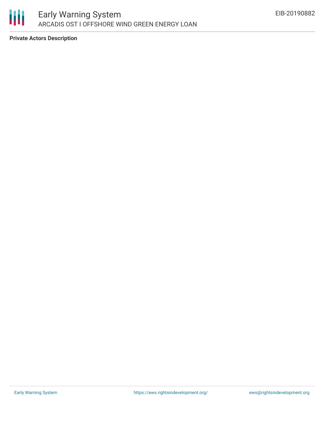

**Private Actors Description**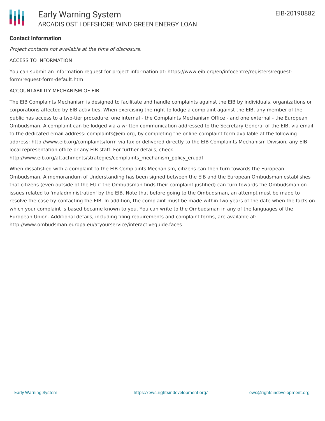

# **Contact Information**

Project contacts not available at the time of disclosure.

#### ACCESS TO INFORMATION

You can submit an information request for project information at: https://www.eib.org/en/infocentre/registers/requestform/request-form-default.htm

#### ACCOUNTABILITY MECHANISM OF EIB

The EIB Complaints Mechanism is designed to facilitate and handle complaints against the EIB by individuals, organizations or corporations affected by EIB activities. When exercising the right to lodge a complaint against the EIB, any member of the public has access to a two-tier procedure, one internal - the Complaints Mechanism Office - and one external - the European Ombudsman. A complaint can be lodged via a written communication addressed to the Secretary General of the EIB, via email to the dedicated email address: complaints@eib.org, by completing the online complaint form available at the following address: http://www.eib.org/complaints/form via fax or delivered directly to the EIB Complaints Mechanism Division, any EIB local representation office or any EIB staff. For further details, check:

http://www.eib.org/attachments/strategies/complaints\_mechanism\_policy\_en.pdf

When dissatisfied with a complaint to the EIB Complaints Mechanism, citizens can then turn towards the European Ombudsman. A memorandum of Understanding has been signed between the EIB and the European Ombudsman establishes that citizens (even outside of the EU if the Ombudsman finds their complaint justified) can turn towards the Ombudsman on issues related to 'maladministration' by the EIB. Note that before going to the Ombudsman, an attempt must be made to resolve the case by contacting the EIB. In addition, the complaint must be made within two years of the date when the facts on which your complaint is based became known to you. You can write to the Ombudsman in any of the languages of the European Union. Additional details, including filing requirements and complaint forms, are available at: http://www.ombudsman.europa.eu/atyourservice/interactiveguide.faces